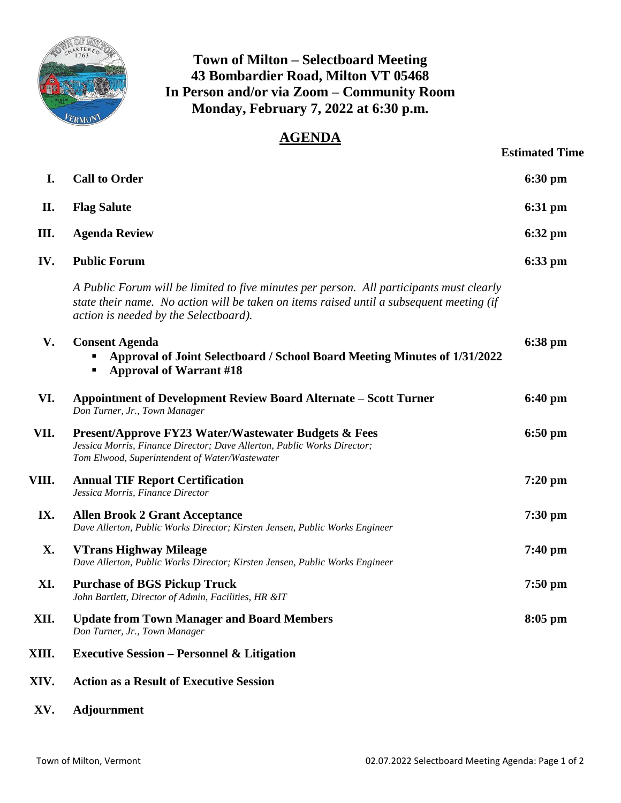

## **Town of Milton – Selectboard Meeting 43 Bombardier Road, Milton VT 05468 In Person and/or via Zoom – Community Room Monday, February 7, 2022 at 6:30 p.m.**

## **AGENDA**

| <b>Estimated Time</b> |  |
|-----------------------|--|
|                       |  |

| I.    | <b>Call to Order</b>                                                                                                                                                                                                          | 6:30 pm           |
|-------|-------------------------------------------------------------------------------------------------------------------------------------------------------------------------------------------------------------------------------|-------------------|
| II.   | <b>Flag Salute</b>                                                                                                                                                                                                            | 6:31 pm           |
| Ш.    | <b>Agenda Review</b>                                                                                                                                                                                                          | $6:32 \text{ pm}$ |
| IV.   | <b>Public Forum</b>                                                                                                                                                                                                           | 6:33 pm           |
|       | A Public Forum will be limited to five minutes per person. All participants must clearly<br>state their name. No action will be taken on items raised until a subsequent meeting (if<br>action is needed by the Selectboard). |                   |
| V.    | <b>Consent Agenda</b><br>Approval of Joint Selectboard / School Board Meeting Minutes of 1/31/2022<br><b>Approval of Warrant #18</b>                                                                                          | 6:38 pm           |
| VI.   | <b>Appointment of Development Review Board Alternate - Scott Turner</b><br>Don Turner, Jr., Town Manager                                                                                                                      | $6:40 \text{ pm}$ |
| VII.  | Present/Approve FY23 Water/Wastewater Budgets & Fees<br>Jessica Morris, Finance Director; Dave Allerton, Public Works Director;<br>Tom Elwood, Superintendent of Water/Wastewater                                             | $6:50$ pm         |
| VIII. | <b>Annual TIF Report Certification</b><br>Jessica Morris, Finance Director                                                                                                                                                    | 7:20 pm           |
| IX.   | <b>Allen Brook 2 Grant Acceptance</b><br>Dave Allerton, Public Works Director; Kirsten Jensen, Public Works Engineer                                                                                                          | $7:30$ pm         |
| X.    | <b>VTrans Highway Mileage</b><br>Dave Allerton, Public Works Director; Kirsten Jensen, Public Works Engineer                                                                                                                  | $7:40$ pm         |
| XI.   | <b>Purchase of BGS Pickup Truck</b><br>John Bartlett, Director of Admin, Facilities, HR &IT                                                                                                                                   | $7:50$ pm         |
| XII.  | <b>Update from Town Manager and Board Members</b><br>Don Turner, Jr., Town Manager                                                                                                                                            | $8:05$ pm         |
| XIII. | <b>Executive Session – Personnel &amp; Litigation</b>                                                                                                                                                                         |                   |
| XIV.  | <b>Action as a Result of Executive Session</b>                                                                                                                                                                                |                   |

**XV. Adjournment**